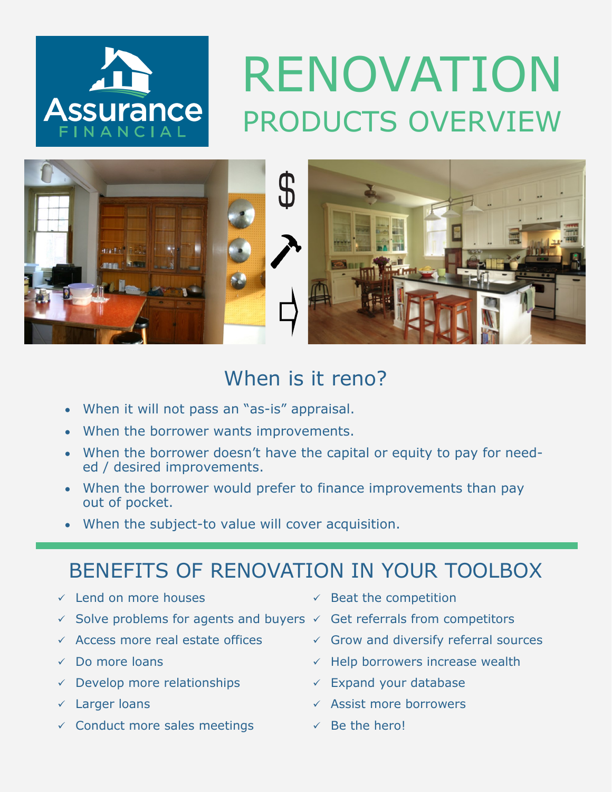

## RENOVATION PRODUCTS OVERVIEW



## When is it reno?

- When it will not pass an "as-is" appraisal.
- When the borrower wants improvements.
- When the borrower doesn't have the capital or equity to pay for needed / desired improvements.
- When the borrower would prefer to finance improvements than pay out of pocket.
- When the subject-to value will cover acquisition.

## BENEFITS OF RENOVATION IN YOUR TOOLBOX

- ✓ Lend on more houses
- $\checkmark$  Solve problems for agents and buyers  $\checkmark$  Get referrals from competitors
- ✓ Access more real estate offices
- ✓ Do more loans
- $\checkmark$  Develop more relationships
- ✓ Larger loans
- $\checkmark$  Conduct more sales meetings
- $\checkmark$  Beat the competition
- 
- $\checkmark$  Grow and diversify referral sources
- $\checkmark$  Help borrowers increase wealth
- $\checkmark$  Expand your database
- ✓ Assist more borrowers
- $\checkmark$  Be the hero!